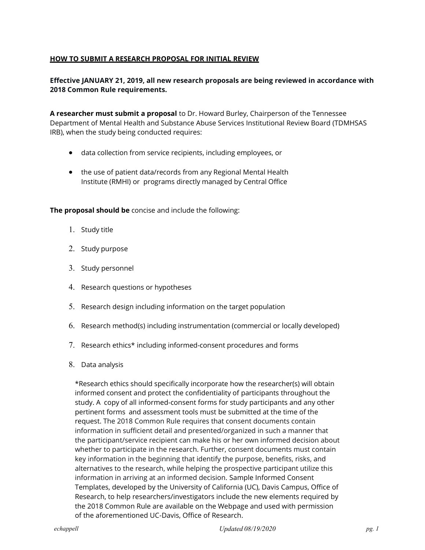# HOW TO SUBMIT A RESEARCH PROPOSAL FOR INITIAL REVIEW

# Effective JANUARY 21, 2019, all new research proposals are being reviewed in accordance with 2018 Common Rule requirements.

Department of Mental Health and Substance Abuse Services Institutional Review Board (TDMHSAS A researcher must submit a proposal to Dr. Howard Burley, Chairperson of the Tennessee IRB), when the study being conducted requires:

- data collection from service recipients, including employees, or
- the use of patient data/records from any Regional Mental Health Institute (RMHI) or programs directly managed by Central Office

The proposal should be concise and include the following:

- 1. Study title
- 2. Study purpose
- 3. Study personnel
- 4. Research questions or hypotheses
- 5. Research design including information on the target population
- 6. Research method(s) including instrumentation (commercial or locally developed)
- 7. Research ethics\* including informed-consent procedures and forms
- 8. Data analysis

\*Research ethics should specifically incorporate how the researcher(s) will obtain informed consent and protect the confidentiality of participants throughout the study. A copy of all informed-consent forms for study participants and any other pertinent forms and assessment tools must be submitted at the time of the request. The 2018 Common Rule requires that consent documents contain information in sufficient detail and presented/organized in such a manner that the participant/service recipient can make his or her own informed decision about whether to participate in the research. Further, consent documents must contain key information in the beginning that identify the purpose, benefits, risks, and alternatives to the research, while helping the prospective participant utilize this information in arriving at an informed decision. Sample Informed Consent Templates, developed by the University of California (UC), Davis Campus, Office of Research, to help researchers/investigators include the new elements required by the 2018 Common Rule are available on the Webpage and used with permission of the aforementioned UC-Davis, Office of Research.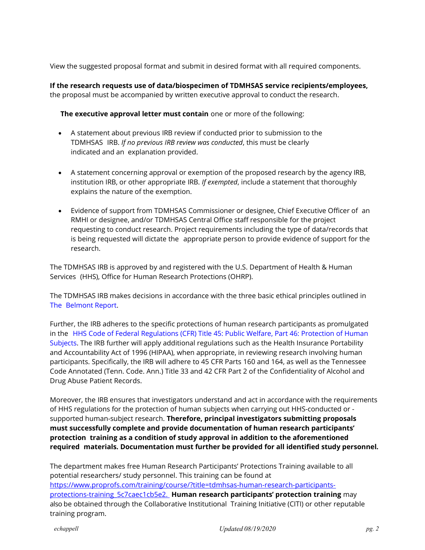View the suggested proposal format and submit in desired format with all required components.

If the research requests use of data/biospecimen of TDMHSAS service recipients/employees, the proposal must be accompanied by written executive approval to conduct the research.

The executive approval letter must contain one or more of the following:

- A statement about previous IRB review if conducted prior to submission to the TDMHSAS IRB. If no previous IRB review was conducted, this must be clearly indicated and an explanation provided.
- A statement concerning approval or exemption of the proposed research by the agency IRB, institution IRB, or other appropriate IRB. If exempted, include a statement that thoroughly explains the nature of the exemption.
- Evidence of support from TDMHSAS Commissioner or designee, Chief Executive Officer of an RMHI or designee, and/or TDMHSAS Central Office staff responsible for the project requesting to conduct research. Project requirements including the type of data/records that is being requested will dictate the appropriate person to provide evidence of support for the research.

The TDMHSAS IRB is approved by and registered with the U.S. Department of Health & Human Services (HHS), Office for Human Research Protections (OHRP).

The TDMHSAS IRB makes decisions in accordance with the three basic ethical principles outlined in The Belmont Report.

Further, the IRB adheres to the specific protections of human research participants as promulgated in the HHS Code of Federal Regulations (CFR) Title 45: Public Welfare, Part 46: Protection of Human Subjects. The IRB further will apply additional regulations such as the Health Insurance Portability and Accountability Act of 1996 (HIPAA), when appropriate, in reviewing research involving human participants. Specifically, the IRB will adhere to 45 CFR Parts 160 and 164, as well as the Tennessee Code Annotated (Tenn. Code. Ann.) Title 33 and 42 CFR Part 2 of the Confidentiality of Alcohol and Drug Abuse Patient Records.

Moreover, the IRB ensures that investigators understand and act in accordance with the requirements of HHS regulations for the protection of human subjects when carrying out HHS-conducted or supported human-subject research. Therefore, principal investigators submitting proposals must successfully complete and provide documentation of human research participants' protection training as a condition of study approval in addition to the aforementioned required materials. Documentation must further be provided for all identified study personnel.

The department makes free Human Research Participants' Protections Training available to all potential researchers/ study personnel. This training can be found at https://www.proprofs.com/training/course/?title=tdmhsas-human-research-participantsprotections-training 5c7caec1cb5e2. Human research participants' protection training may also be obtained through the Collaborative Institutional Training Initiative (CITI) or other reputable training program.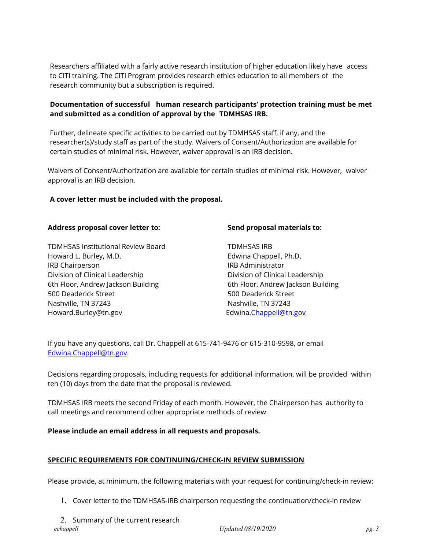Researchers affiliated with a fairly active research institution of higher education likely have access to CITI training. The CITI Program provides research ethics education to all members of the research community but a subscription is required.

## Documentation of successful human research participants' protection training must be met and submitted as a condition of approval by the TDMHSAS IRB.

Further, delineate specific activities to be carried out by TDMHSAS staff, if any, and the researcher(s)/study staff as part of the study. Waivers of Consent/Authorization are available for certain studies of minimal risk. However, waiver approval is an IRB decision.

Waivers of Consent/Authorization are available for certain studies of minimal risk. However, waiver approval is an IRB decision.

### A cover letter must be included with the proposal.

#### Address proposal cover letter to:

TDMHSAS Institutional Review Board Howard L. Burley, M.D. IRB Chairperson Division of Clinical Leadership 6th Floor, Andrew Jackson Building 500 Deaderick Street Nashville, TN 37243 Howard.Burley@tn.gov

### Send proposal materials to:

TDMHSAS IRB Edwina Chappell, Ph.D. IRB Administrator Division of Clinical Leadership 6th Floor, Andrew Jackson Building 500 Deaderick Street Nashville, TN 37243 Edwina.Chappell@tn.gov

If you have any questions, call Dr. Chappell at 615-741-9476 or 615-310-9598, or email Edwina.Chappell@tn.gov.

Decisions regarding proposals, including requests for additional information, will be provided within ten (10) days from the date that the proposal is reviewed.

TDMHSAS IRB meets the second Friday of each month. However, the Chairperson has authority to call meetings and recommend other appropriate methods of review.

# Please include an email address in all requests and proposals.

### SPECIFIC REQUIREMENTS FOR CONTINUING/CHECK-IN REVIEW SUBMISSION

Please provide, at minimum, the following materials with your request for continuing/check-in review:

- 1. Cover letter to the TDMHSAS-IRB chairperson requesting the continuation/check-in review
- echappell example by the Updated 08/19/2020 pg. 3 pg. 3 2. Summary of the current research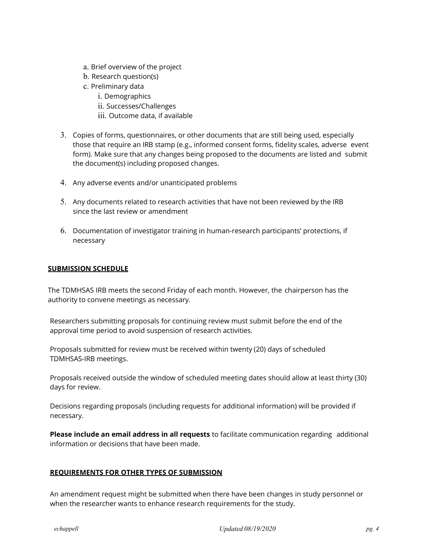- a. Brief overview of the project
- b. Research question(s)
- c. Preliminary data
	- i. Demographics
	- ii. Successes/Challenges
	- iii. Outcome data, if available
- 3. Copies of forms, questionnaires, or other documents that are still being used, especially those that require an IRB stamp (e.g., informed consent forms, fidelity scales, adverse event form). Make sure that any changes being proposed to the documents are listed and submit the document(s) including proposed changes.
- 4. Any adverse events and/or unanticipated problems
- 5. Any documents related to research activities that have not been reviewed by the IRB since the last review or amendment
- 6. Documentation of investigator training in human-research participants' protections, if necessary

### **SUBMISSION SCHEDULE**

The TDMHSAS IRB meets the second Friday of each month. However, the chairperson has the authority to convene meetings as necessary.

Researchers submitting proposals for continuing review must submit before the end of the approval time period to avoid suspension of research activities.

Proposals submitted for review must be received within twenty (20) days of scheduled TDMHSAS-IRB meetings.

Proposals received outside the window of scheduled meeting dates should allow at least thirty (30) days for review.

Decisions regarding proposals (including requests for additional information) will be provided if necessary.

Please include an email address in all requests to facilitate communication regarding additional information or decisions that have been made.

# REQUIREMENTS FOR OTHER TYPES OF SUBMISSION

An amendment request might be submitted when there have been changes in study personnel or when the researcher wants to enhance research requirements for the study.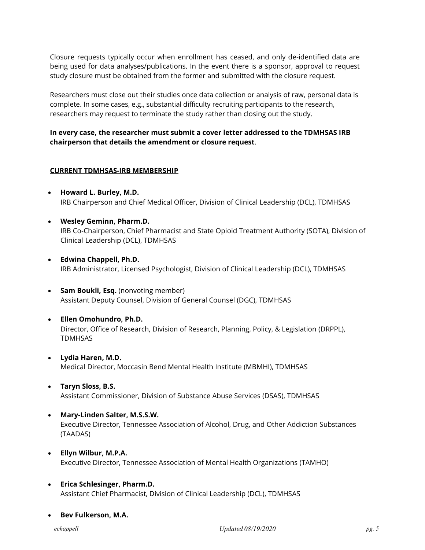Closure requests typically occur when enrollment has ceased, and only de-identified data are being used for data analyses/publications. In the event there is a sponsor, approval to request study closure must be obtained from the former and submitted with the closure request.

Researchers must close out their studies once data collection or analysis of raw, personal data is complete. In some cases, e.g., substantial difficulty recruiting participants to the research, researchers may request to terminate the study rather than closing out the study.

### In every case, the researcher must submit a cover letter addressed to the TDMHSAS IRB chairperson that details the amendment or closure request.

### CURRENT TDMHSAS-IRB MEMBERSHIP

- Howard L. Burley, M.D. IRB Chairperson and Chief Medical Officer, Division of Clinical Leadership (DCL), TDMHSAS
- Wesley Geminn, Pharm.D. IRB Co-Chairperson, Chief Pharmacist and State Opioid Treatment Authority (SOTA), Division of Clinical Leadership (DCL), TDMHSAS
- Edwina Chappell, Ph.D. IRB Administrator, Licensed Psychologist, Division of Clinical Leadership (DCL), TDMHSAS
- Sam Boukli, Esq. (nonvoting member) Assistant Deputy Counsel, Division of General Counsel (DGC), TDMHSAS
- Ellen Omohundro, Ph.D. Director, Office of Research, Division of Research, Planning, Policy, & Legislation (DRPPL), TDMHSAS
- Lydia Haren, M.D. Medical Director, Moccasin Bend Mental Health Institute (MBMHI), TDMHSAS
- Taryn Sloss, B.S. Assistant Commissioner, Division of Substance Abuse Services (DSAS), TDMHSAS
- Mary-Linden Salter, M.S.S.W. Executive Director, Tennessee Association of Alcohol, Drug, and Other Addiction Substances (TAADAS)
- Ellyn Wilbur, M.P.A. Executive Director, Tennessee Association of Mental Health Organizations (TAMHO)
- Erica Schlesinger, Pharm.D. Assistant Chief Pharmacist, Division of Clinical Leadership (DCL), TDMHSAS
- Bev Fulkerson, M.A.